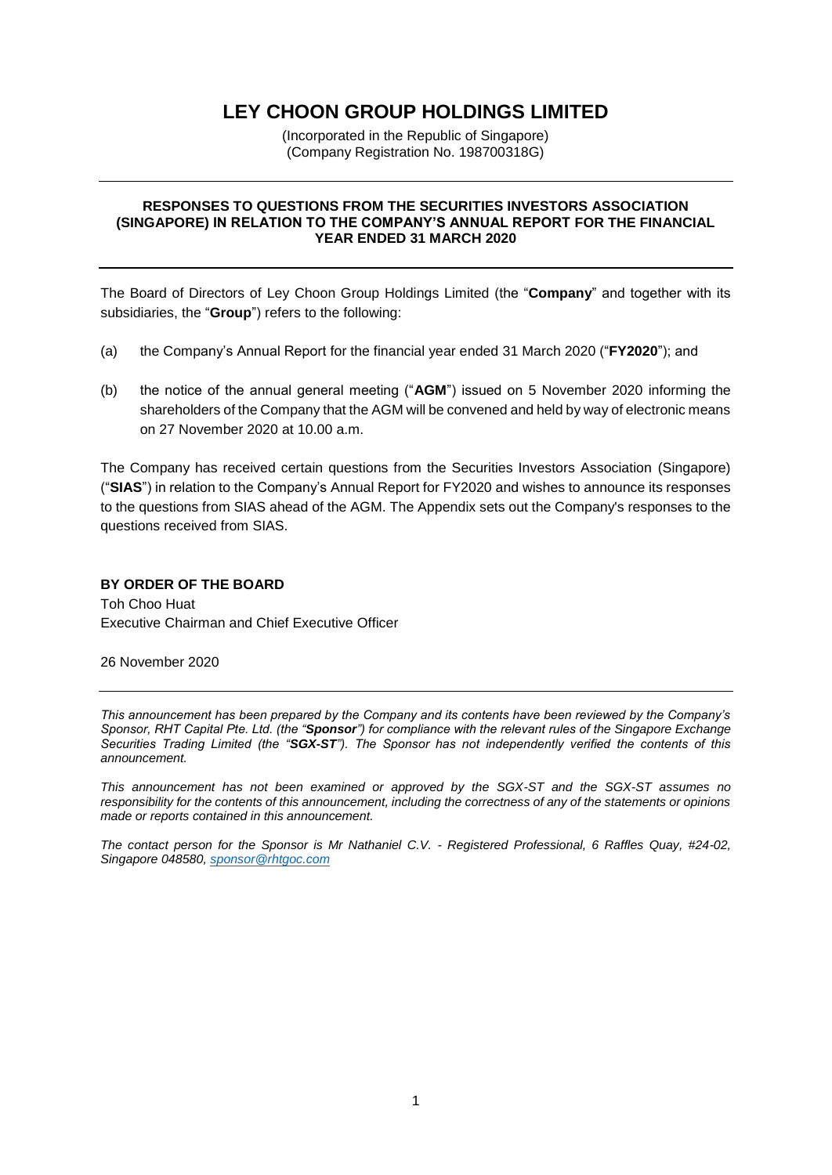# **LEY CHOON GROUP HOLDINGS LIMITED**

(Incorporated in the Republic of Singapore) (Company Registration No. 198700318G)

#### **RESPONSES TO QUESTIONS FROM THE SECURITIES INVESTORS ASSOCIATION (SINGAPORE) IN RELATION TO THE COMPANY'S ANNUAL REPORT FOR THE FINANCIAL YEAR ENDED 31 MARCH 2020**

The Board of Directors of Ley Choon Group Holdings Limited (the "**Company**" and together with its subsidiaries, the "**Group**") refers to the following:

- (a) the Company's Annual Report for the financial year ended 31 March 2020 ("**FY2020**"); and
- (b) the notice of the annual general meeting ("**AGM**") issued on 5 November 2020 informing the shareholders of the Company that the AGM will be convened and held by way of electronic means on 27 November 2020 at 10.00 a.m.

The Company has received certain questions from the Securities Investors Association (Singapore) ("**SIAS**") in relation to the Company's Annual Report for FY2020 and wishes to announce its responses to the questions from SIAS ahead of the AGM. The Appendix sets out the Company's responses to the questions received from SIAS.

#### **BY ORDER OF THE BOARD**

Toh Choo Huat Executive Chairman and Chief Executive Officer

26 November 2020

*This announcement has been prepared by the Company and its contents have been reviewed by the Company's Sponsor, RHT Capital Pte. Ltd. (the "Sponsor") for compliance with the relevant rules of the Singapore Exchange Securities Trading Limited (the "SGX-ST"). The Sponsor has not independently verified the contents of this announcement.*

*This announcement has not been examined or approved by the SGX-ST and the SGX-ST assumes no responsibility for the contents of this announcement, including the correctness of any of the statements or opinions made or reports contained in this announcement.*

*The contact person for the Sponsor is Mr Nathaniel C.V. - Registered Professional, 6 Raffles Quay, #24-02, Singapore 048580[, sponsor@rhtgoc.com](mailto:sponsor@rhtgoc.com)*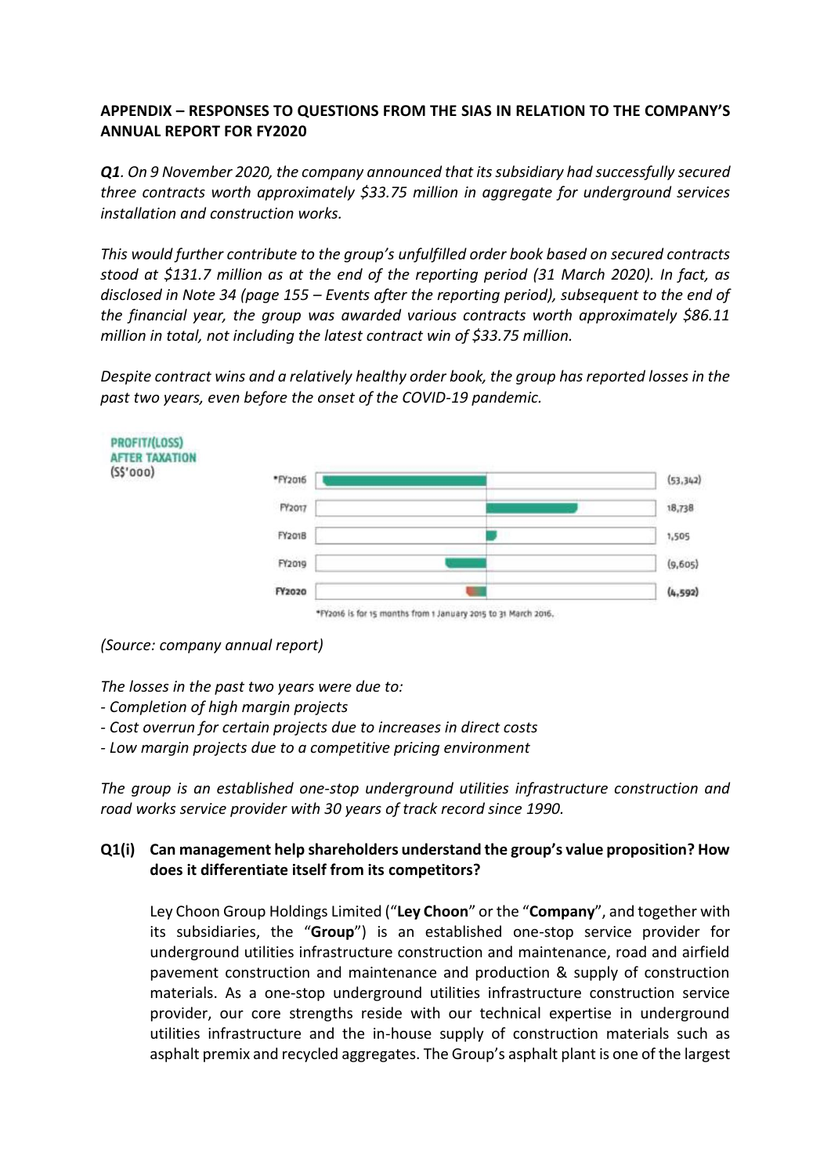### **APPENDIX – RESPONSES TO QUESTIONS FROM THE SIAS IN RELATION TO THE COMPANY'S ANNUAL REPORT FOR FY2020**

**Q1**. On 9 November 2020, the company announced that its subsidiary had successfully secured *three contracts worth approximately \$33.75 million in aggregate for underground services installation and construction works.*

*This would further contribute to the group's unfulfilled order book based on secured contracts stood at \$131.7 million as at the end of the reporting period (31 March 2020). In fact, as disclosed in Note 34 (page 155 – Events after the reporting period), subsequent to the end of the financial year, the group was awarded various contracts worth approximately \$86.11 million in total, not including the latest contract win of \$33.75 million.*

*Despite contract wins and a relatively healthy order book, the group has reported losses in the past two years, even before the onset of the COVID-19 pandemic.*



*(Source: company annual report)*

*The losses in the past two years were due to:*

- *- Completion of high margin projects*
- *- Cost overrun for certain projects due to increases in direct costs*
- *- Low margin projects due to a competitive pricing environment*

*The group is an established one-stop underground utilities infrastructure construction and road works service provider with 30 years of track record since 1990.*

# **Q1(i) Can management help shareholders understand the group's value proposition? How does it differentiate itself from its competitors?**

Ley Choon Group Holdings Limited ("**Ley Choon**" or the "**Company**", and together with its subsidiaries, the "**Group**") is an established one-stop service provider for underground utilities infrastructure construction and maintenance, road and airfield pavement construction and maintenance and production & supply of construction materials. As a one-stop underground utilities infrastructure construction service provider, our core strengths reside with our technical expertise in underground utilities infrastructure and the in-house supply of construction materials such as asphalt premix and recycled aggregates. The Group's asphalt plant is one of the largest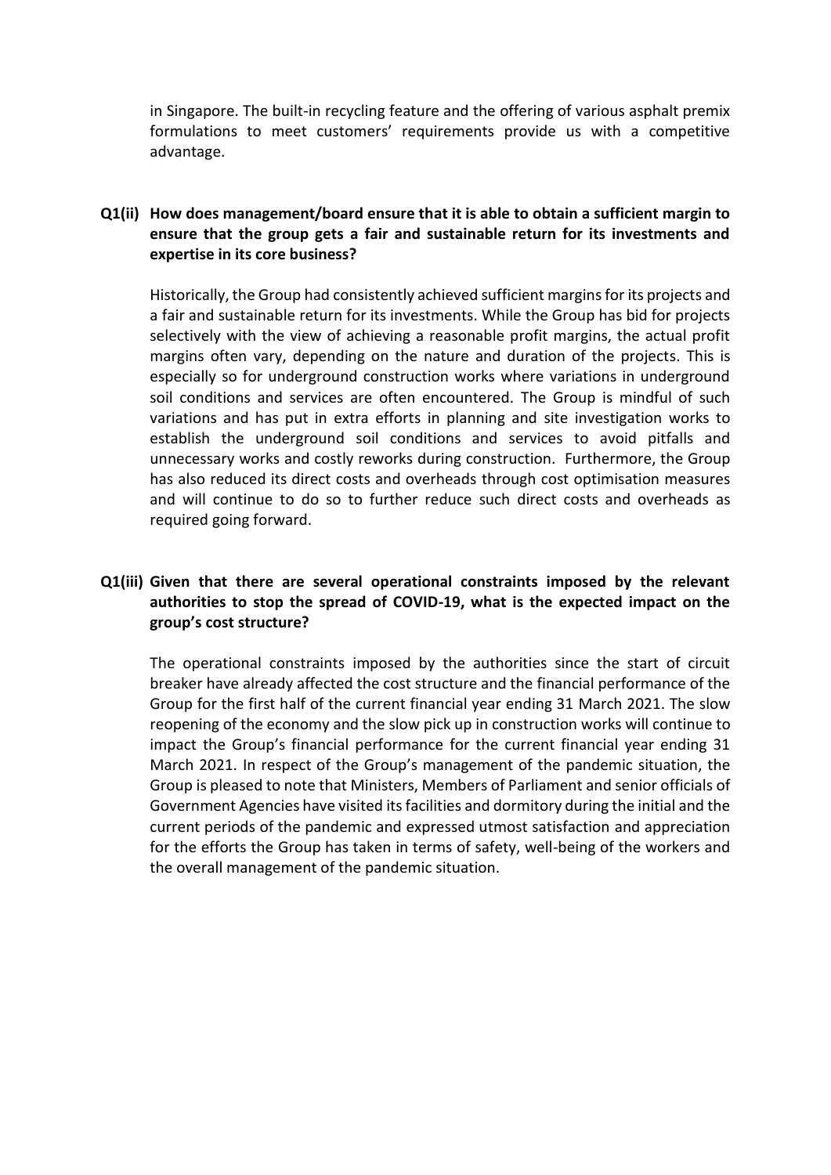in Singapore. The built-in recycling feature and the offering of various asphalt premix formulations to meet customers' requirements provide us with a competitive advantage.

#### **Q1(ii) How does management/board ensure that it is able to obtain a sufficient margin to ensure that the group gets a fair and sustainable return for its investments and expertise in its core business?**

Historically, the Group had consistently achieved sufficient margins for its projects and a fair and sustainable return for its investments. While the Group has bid for projects selectively with the view of achieving a reasonable profit margins, the actual profit margins often vary, depending on the nature and duration of the projects. This is especially so for underground construction works where variations in underground soil conditions and services are often encountered. The Group is mindful of such variations and has put in extra efforts in planning and site investigation works to establish the underground soil conditions and services to avoid pitfalls and unnecessary works and costly reworks during construction. Furthermore, the Group has also reduced its direct costs and overheads through cost optimisation measures and will continue to do so to further reduce such direct costs and overheads as required going forward.

## **Q1(iii) Given that there are several operational constraints imposed by the relevant authorities to stop the spread of COVID-19, what is the expected impact on the group's cost structure?**

The operational constraints imposed by the authorities since the start of circuit breaker have already affected the cost structure and the financial performance of the Group for the first half of the current financial year ending 31 March 2021. The slow reopening of the economy and the slow pick up in construction works will continue to impact the Group's financial performance for the current financial year ending 31 March 2021. In respect of the Group's management of the pandemic situation, the Group is pleased to note that Ministers, Members of Parliament and senior officials of Government Agencies have visited its facilities and dormitory during the initial and the current periods of the pandemic and expressed utmost satisfaction and appreciation for the efforts the Group has taken in terms of safety, well-being of the workers and the overall management of the pandemic situation.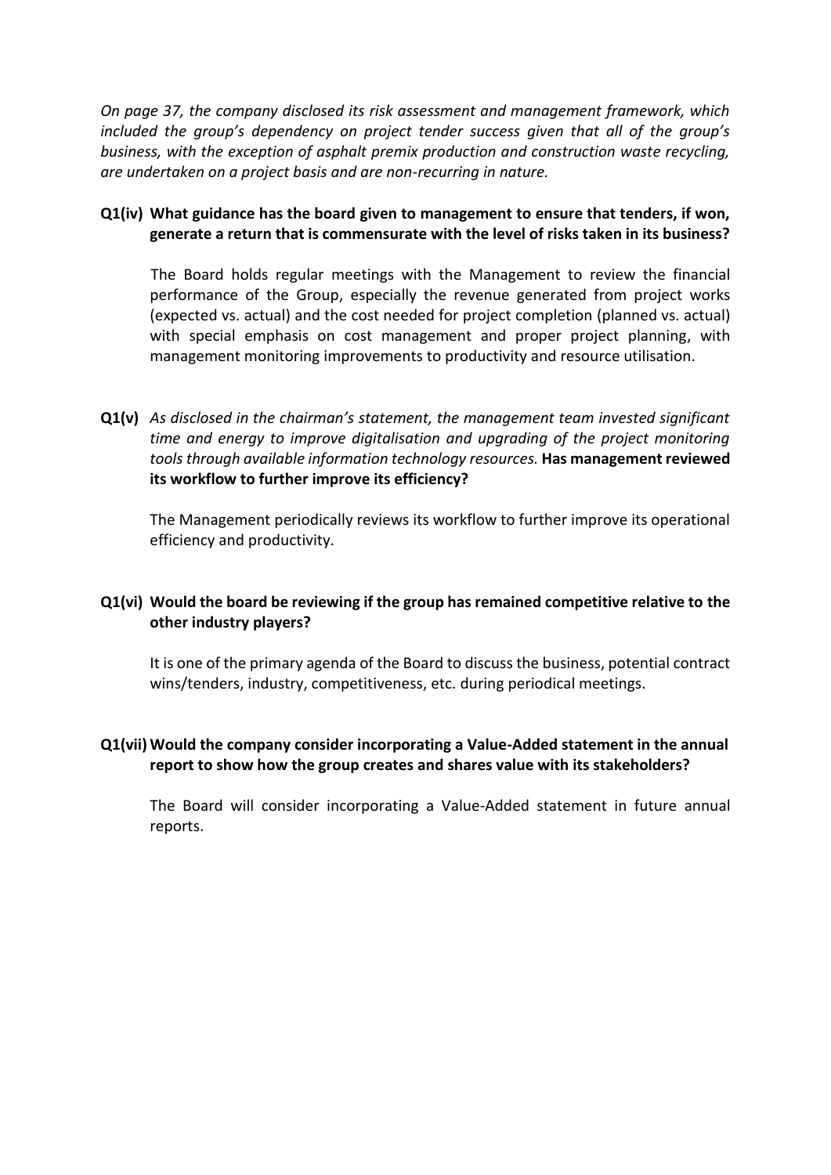*On page 37, the company disclosed its risk assessment and management framework, which included the group's dependency on project tender success given that all of the group's business, with the exception of asphalt premix production and construction waste recycling, are undertaken on a project basis and are non-recurring in nature.*

#### **Q1(iv) What guidance has the board given to management to ensure that tenders, if won, generate a return that is commensurate with the level of risks taken in its business?**

The Board holds regular meetings with the Management to review the financial performance of the Group, especially the revenue generated from project works (expected vs. actual) and the cost needed for project completion (planned vs. actual) with special emphasis on cost management and proper project planning, with management monitoring improvements to productivity and resource utilisation.

**Q1(v)** *As disclosed in the chairman's statement, the management team invested significant time and energy to improve digitalisation and upgrading of the project monitoring tools through available information technology resources.* **Has management reviewed its workflow to further improve its efficiency?**

The Management periodically reviews its workflow to further improve its operational efficiency and productivity.

### **Q1(vi) Would the board be reviewing if the group has remained competitive relative to the other industry players?**

It is one of the primary agenda of the Board to discuss the business, potential contract wins/tenders, industry, competitiveness, etc. during periodical meetings.

### **Q1(vii) Would the company consider incorporating a Value-Added statement in the annual report to show how the group creates and shares value with its stakeholders?**

The Board will consider incorporating a Value-Added statement in future annual reports.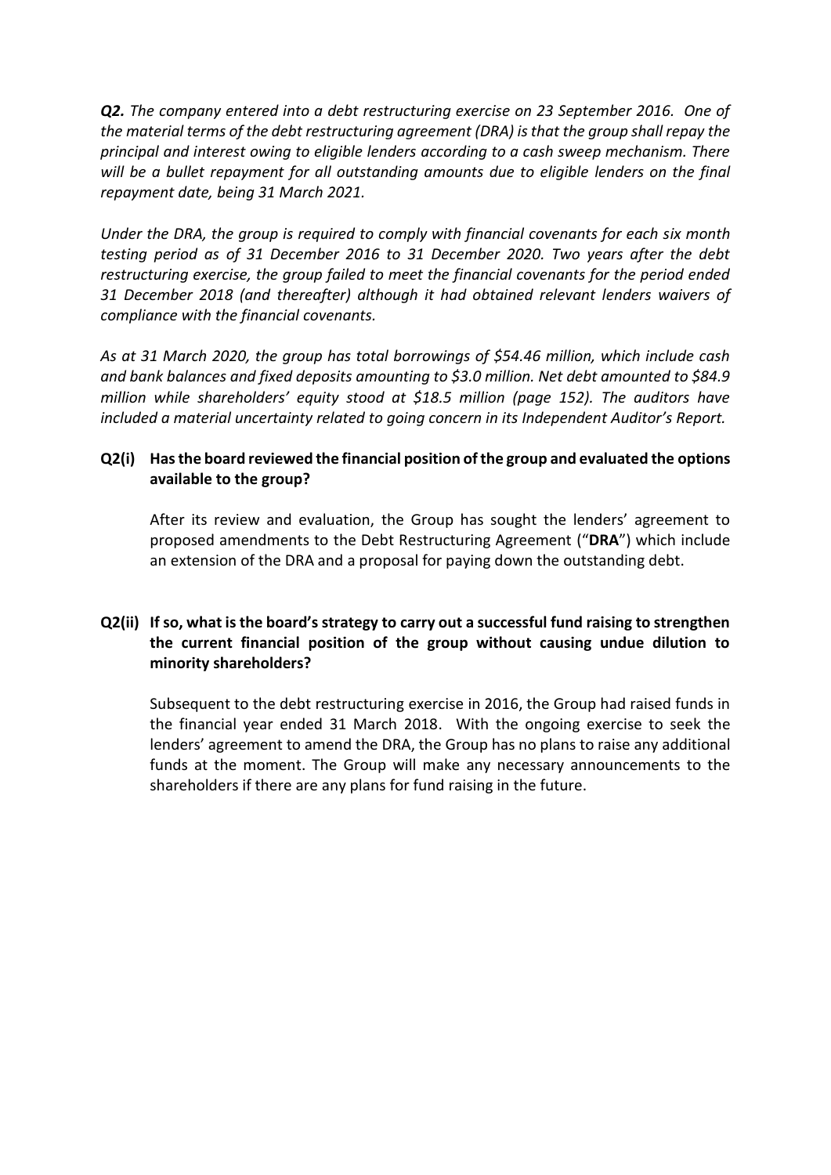*Q2. The company entered into a debt restructuring exercise on 23 September 2016. One of the material terms of the debt restructuring agreement (DRA) is that the group shall repay the principal and interest owing to eligible lenders according to a cash sweep mechanism. There will be a bullet repayment for all outstanding amounts due to eligible lenders on the final repayment date, being 31 March 2021.*

*Under the DRA, the group is required to comply with financial covenants for each six month testing period as of 31 December 2016 to 31 December 2020. Two years after the debt restructuring exercise, the group failed to meet the financial covenants for the period ended 31 December 2018 (and thereafter) although it had obtained relevant lenders waivers of compliance with the financial covenants.*

*As at 31 March 2020, the group has total borrowings of \$54.46 million, which include cash and bank balances and fixed deposits amounting to \$3.0 million. Net debt amounted to \$84.9 million while shareholders' equity stood at \$18.5 million (page 152). The auditors have included a material uncertainty related to going concern in its Independent Auditor's Report.*

# **Q2(i) Has the board reviewed the financial position of the group and evaluated the options available to the group?**

After its review and evaluation, the Group has sought the lenders' agreement to proposed amendments to the Debt Restructuring Agreement ("**DRA**") which include an extension of the DRA and a proposal for paying down the outstanding debt.

# **Q2(ii) If so, what is the board's strategy to carry out a successful fund raising to strengthen the current financial position of the group without causing undue dilution to minority shareholders?**

Subsequent to the debt restructuring exercise in 2016, the Group had raised funds in the financial year ended 31 March 2018. With the ongoing exercise to seek the lenders' agreement to amend the DRA, the Group has no plans to raise any additional funds at the moment. The Group will make any necessary announcements to the shareholders if there are any plans for fund raising in the future.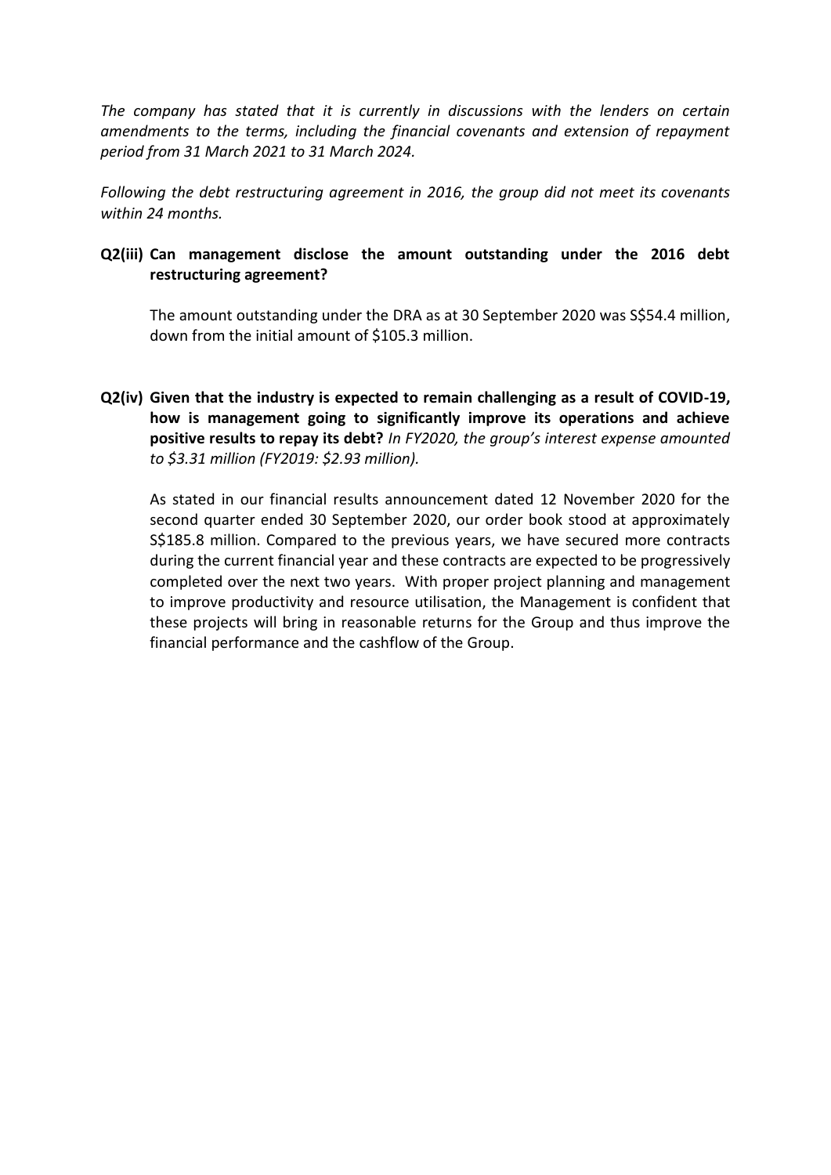*The company has stated that it is currently in discussions with the lenders on certain amendments to the terms, including the financial covenants and extension of repayment period from 31 March 2021 to 31 March 2024.* 

*Following the debt restructuring agreement in 2016, the group did not meet its covenants within 24 months.*

## **Q2(iii) Can management disclose the amount outstanding under the 2016 debt restructuring agreement?**

The amount outstanding under the DRA as at 30 September 2020 was S\$54.4 million, down from the initial amount of \$105.3 million.

**Q2(iv) Given that the industry is expected to remain challenging as a result of COVID-19, how is management going to significantly improve its operations and achieve positive results to repay its debt?** *In FY2020, the group's interest expense amounted to \$3.31 million (FY2019: \$2.93 million).*

As stated in our financial results announcement dated 12 November 2020 for the second quarter ended 30 September 2020, our order book stood at approximately S\$185.8 million. Compared to the previous years, we have secured more contracts during the current financial year and these contracts are expected to be progressively completed over the next two years. With proper project planning and management to improve productivity and resource utilisation, the Management is confident that these projects will bring in reasonable returns for the Group and thus improve the financial performance and the cashflow of the Group.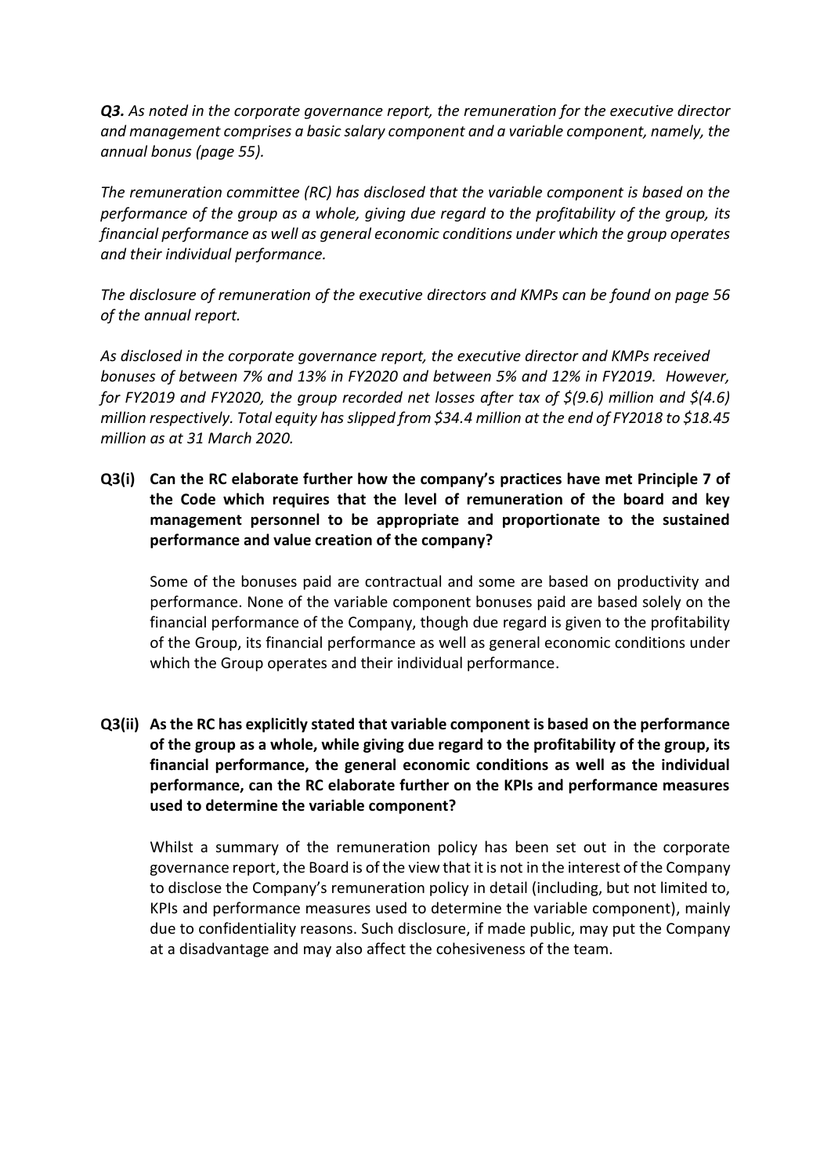*Q3. As noted in the corporate governance report, the remuneration for the executive director and management comprises a basic salary component and a variable component, namely, the annual bonus (page 55).*

*The remuneration committee (RC) has disclosed that the variable component is based on the performance of the group as a whole, giving due regard to the profitability of the group, its financial performance as well as general economic conditions under which the group operates and their individual performance.* 

*The disclosure of remuneration of the executive directors and KMPs can be found on page 56 of the annual report.*

*As disclosed in the corporate governance report, the executive director and KMPs received bonuses of between 7% and 13% in FY2020 and between 5% and 12% in FY2019. However, for FY2019 and FY2020, the group recorded net losses after tax of \$(9.6) million and \$(4.6) million respectively. Total equity has slipped from \$34.4 million at the end of FY2018 to \$18.45 million as at 31 March 2020.*

**Q3(i) Can the RC elaborate further how the company's practices have met Principle 7 of the Code which requires that the level of remuneration of the board and key management personnel to be appropriate and proportionate to the sustained performance and value creation of the company?**

Some of the bonuses paid are contractual and some are based on productivity and performance. None of the variable component bonuses paid are based solely on the financial performance of the Company, though due regard is given to the profitability of the Group, its financial performance as well as general economic conditions under which the Group operates and their individual performance.

**Q3(ii) As the RC has explicitly stated that variable component is based on the performance of the group as a whole, while giving due regard to the profitability of the group, its financial performance, the general economic conditions as well as the individual performance, can the RC elaborate further on the KPIs and performance measures used to determine the variable component?**

Whilst a summary of the remuneration policy has been set out in the corporate governance report, the Board is of the view that it is not in the interest of the Company to disclose the Company's remuneration policy in detail (including, but not limited to, KPIs and performance measures used to determine the variable component), mainly due to confidentiality reasons. Such disclosure, if made public, may put the Company at a disadvantage and may also affect the cohesiveness of the team.